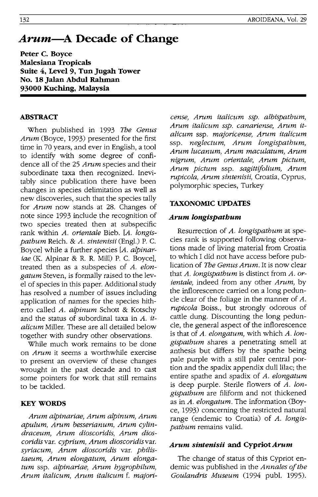# *Arum-A* **Decade of Change**

**Peter C. Boyce Malesiana Tropicals Suite 4, Level 9, Tun Jugah Tower No. 18JaIan Abdul Rahman 93000 Kuching, Malaysia** 

# **ABSTRACT**

When published in 1993 *The Genus Arum* (Boyce, 1993) presented for the first time in 70 years, and ever in English, a tool to identify with some degree of confidence all of the 25 *Arum* species and their subordinate taxa then recognized. Inevitably since publication there have been changes in species delimitation as well as new discoveries, such that the species tally for *Arum* now stands at 28. Changes of note since 1993 include the recognition of two species treated then at subspecific rank within *A. orientale* Bieb. *[A. longispathum* Reich. & *A. sintenisii* (Eng!.) P. C. Boyce] while a further species *[A. alpinariae* (K. Alpinar & R. R. Mill) P. C. Boyce], treated then as a subspecies of *A. elongatum* Steven, is formally raised to the level of species in this paper. Additional study has resolved a number of issues including application of names for the species hitherto called *A. alpinum* Schott & Kotschy and the status of subordinal taxa in *A. italicum* Miller. These are all detailed below together with sundry other observations.

While much work remains to be done on *Arum* it seems a worthwhile exercise to present an overview of these changes wrought in the past decade and to cast some pointers for work that still remains to be tackled.

# **KEYWORDS**

*Arum alpinariae, Arum alpinum, Arum apulum, Arum besserianum, Arum cylindraceum, Arum dioscoridis, Arum dioscoridisvar. cyprium, Arum dioscoridisvar. syriacum, Arum dioscoridis* var. *philistaeum, Arum elongatum, Arum elongatum* ssp. *alpinariae, Arum hygrophilum, Arum italicum, Arum italicum* f. *majori-* *cense, Arum italicum ssp. albispathum, Arum italicum ssp. canariense, Arum italicum* ssp. *majoricense, Arum italicum*  ssp. *neglectum, Arum longispathum, Arum lucanum, Arum maculatum, Arum nigrum, Arum orientale, Arum pictum, Arum pictum* ssp. *sagittijolium, Arum rupicola, Arum sintenisii,* Croatia, Cyprus, polymorphic species, Turkey

#### **TAXONOMIC UPDATES**

#### *Arum longispathum*

Resurrection of *A. longispathum* at species rank is supported following observations made of living material from Croatia to which I did not have access before publication of *The Genus Arum.* It is now clear that *A. longispathum* is distinct from *A. orientale,* indeed from any other *Arum,* by the inflorescence carried on a long peduncle clear of the foliage in the manner of *A. rupicola* Boiss., but strongly odorous of cattle dung. Discounting the long peduncle, the general aspect of the inflorescence is that of *A. elongatum,* with which *A.longispathum* shares a penetrating smell at anthesis but differs by the spathe being pale purple with a still paler central portion and the spadix appendix dull lilac; the entire spathe and spadix of *A. elongatum*  is deep purple. Sterile flowers of *A. longispathum* are filiform and not thickened as in *A. elongatum.* The information (Boyce, 1993) concerning the restricted natural range (endemic to Croatia) of *A. longispathum* remains valid.

# *Arum sintenisii* **and Cypriot** *Arum*

The change of status of this Cypriot endemic was published in the *Annales of the Goulandris Museum* 0994 pub!. 1995).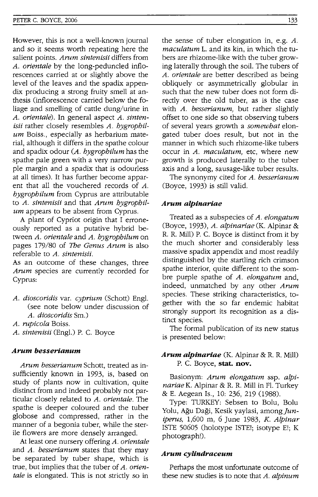However, this is not a well-known journal and so it seems worth repeating here the salient points. *Arum sintenisii* differs from *A. orientale* by the long-peduncled inflorescences carried at or slightly above the level of the leaves and the spadix appendix producing a strong fruity smell at anthesis (inflorescence carried below the foliage and smelling of cattle dung/urine in *A. orientale).* **In** general aspect *A. sintenisii* rather closely resembles *A. hygrophilum* Boiss., especially as herbarium material, although it differs in the spathe colour and spadix odour *(A. hygrophilum* has the spathe pale green with a very narrow purple margin and a spadix that is odourless at all times). It has further become apparent that all the vouchered records of *A. hygrophilum* from Cyprus are attributable to *A. sintenisii* and that *Arum hygrophilum* appears to be absent from Cyprus.

A plant of Cypriot origin that I erroneously reported as a putative hybrid between *A. orientale* and *A. hygrophilum* on pages 179/80 of *The Genus Arum* is also referable to *A. sintenisii.* 

As an outcome of these changes, three *Arum* species are currently recorded for Cyprus:

- *A. dioscoridis* var. *cyprium* (Schott) Engl. (see note below under discussion of *A. dioscoridis* Sm.)
- *A. rupicola* Boiss.
- *A. sintenisii* (Engl.) P. C. Boyce

#### *Arum besserlanum*

*Arum besserianum* Schott, treated as insufficiently known in 1993, is, based on study of plants now in cultivation, quite distinct from and indeed probably not particular closely related to *A. orientale.* The spathe is deeper coloured and the tuber globose and compressed, rather in the manner of a begonia tuber, while the sterile flowers are more densely arranged.

At least one nursery offering *A. orientale*  and *A. besserianum* states that they may be separated by tuber shape, which is true, but implies that the tuber of *A. orientale* is elongated. This is not strictly so in

the sense of tuber elongation in, e.g. A. *maculatum* L. and its kin, in which the tubers are rhizome-like with the tuber growing laterally through the soil. The tubers of *A. orientale* are better described as being obliquely or asymmetrically globular in such that the new tuber does not form directly over the old tuber, as is the case with *A. besserianum,* but rather slightly offset to one side so that observing tubers of several years growth a *somewhat* elongated tuber does result, but not in the manner in which such rhizome-like tubers occur in *A. maculatum,* etc, where new growth is produced laterally to the tuber axis and a long, sausage-like tuber results.

The synonymy cited for *A. besserianum*  (Boyce, 1993) is still valid.

#### *Arum alpinarlae*

Treated as a subspecies of *A. elongatum*  (Boyce, 1993), *A. alpinariae* (K. Alpinar & R. R. Mill) P. C. Boyce is distinct from it by the much shorter and considerably less massive spadix appendix and most readily distinguished by the startling rich crimson spathe interior, quite different to the sombre purple spathe of *A. elongatum* and, indeed, unmatched by any other *Arum*  species. These striking characteristics, together with the so far endemic habitat strongly support its recognition as a distinct species.

The formal publication of its new status is presented below:

## *Arum alpinarlae* (K. Alpinar & R. R. Mill) P. C. Boyce, **stat. nov.**

Basionym: *Arum elongatum* ssp. *alpinariae* K. Alpinar & R. R. Mill in Fl. Turkey & E. Aegean Is., 10: 236, 219 (1988).

Type: TURKEY: Sebsen to Bolu, Bolu Yolu, Ağu Daği, Kesik yaylasi, among Jun*iperus,* 1,600 m, 6 June 1983, *K. Alpinar*  ISTE 50605 (holotype ISTE!; isotype E!; K photograph!).

#### *Arum cyUndraceum*

Perhaps the most unfortunate outcome of these new studies is to note that *A. alpinum*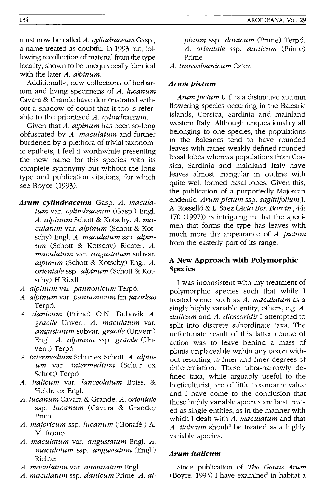must now be called *A. cylindraceum* Gasp., a name treated as doubtful in 1993 but, following recollection of material from the type locality, shown to be unequivocally identical with the later A. *alpinum.* 

Additionally, new collections of herbarium and living specimens of *A. lucanum*  Cavara & Grande have demonstrated without a shadow of doubt that it too is referable to the prioritised *A. cylindraceum.* 

Given that *A. alpinum* has been so-long obfuscated by *A. maculatum* and further burdened by a plethora of trivial taxonomic epithets, I feel it worthwhile presenting the new name for this species with its complete synonymy but without the long type and publication citations, for which see Boyce (1993).

- *Arum cylindraceum* Gasp. *A. maculatum* var. *cylindraceum* (Gasp.) Engl. *A. alpinum* Schott & Kotschy. *A. maculatum* var. *alpinum* (Schott & Kotschy) Engl. *A. maculatum* ssp. *alpinum* (Schott & Kotschy) Richter. *A. maculatum* var. *angustatum* subvar. *alpinum* (Schott & Kotschy) Engl. *A. orientale* ssp. *alpinum* (Schott & Kotschy) H.Riedl.
- *A. alpinum* var. *pannonicum* Terp6,
- *A. alpinum* var. *pannonicum* fm *javorkae*  Terp6.
- *A. danicum* (Prime) O.N. Dubovik *A. gracile* Unverr. *A. maculatum* var. *angustatum* subvar. *gracile* (Unverr.) Engl. *A. alpinum* ssp. *gracile* (Unverr.) Terp6
- *A. intermedium* Schur ex Schott. *A. alpinum* var. *intermedium* (Schur ex Schott) Terp6
- *A. italicum* var. *lanceolatum* Boiss. & Heldr. ex Engl.
- *A. lucanum* Cavara & Grande. *A. orientale*  ssp. *lucanum* (Cavara & Grande) Prime
- *A. majoricum* ssp. *lucanum* ('Bonafe') A. M. Romo
- *A. maculatum* var. *angustatum* Engl. *A. maculatum* ssp. *angustatum* (Engl.) Richter
- *A. maculatum* var. *attenuatum* Engl.
- *A. maculatum* ssp. *danicum* Prime. *A. al-*

*pinum* ssp. *danicum* (Prime) Terp6. *A. orientale* ssp. *danicum* (Prime) Prime

*A. transsilvanicum* Cztez

## *Arumpictum*

*Arum pictum* 1. f. is a distinctive autumn flowering species occurring in the Balearic islands, Corsica, Sardinia and mainland western Italy. Although unquestionably all belonging to one species, the populations in the Balearics tend to have rounded leaves with rather weakly defined rounded basal lobes whereas populations from Corsica, Sardinia and mainland Italy have leaves almost triangular in outline with quite well formed basal lobes. Given this, the publication of a purportedly Majorcan endemic, *Arum pictum* ssp. *sagittifolium* J. A. Rossell6 & 1. Saez *(Acta Bot. Barcin.,* 44: 170 (1997)) is intriguing in that the specimen that forms the type has leaves with much more the appearance of *A. pictum*  from the easterly part of its range.

# **A New Approach with Polymorphic Species**

I was inconsistent with my treatment of polymorphic species such that while I treated some, such as *A. maculatum* as a single highly variable entity, others, e.g. *A. italicum* and *A. dioscoridis* I attempted to split into discrete subordinate taxa. The unfortunate result of this latter course of action was to leave behind a mass of plants unplaceable within any taxon without resorting to finer and finer degrees of differentiation. These ultra-narrowly defined taxa, while arguably useful to the horticulturist, are of little taxonomic value and I have come to the conclusion that these highly variable species are best treated as single entities, as in the manner with which I dealt with *A. maculatum* and that *A. italicum* should be treated as a highly variable species.

## *Arum italicum*

Since publication of The *Genus Arum*  (Boyce, 1993) I have examined in habitat a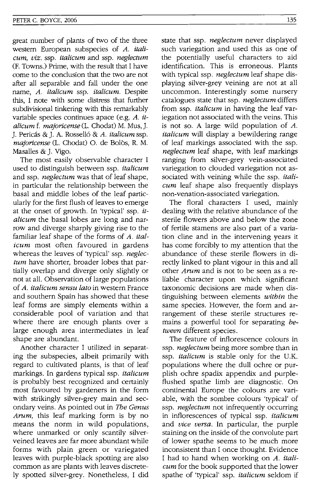great number of plants of two of the three western European subspecies of *A. italicum,* viz. ssp. *italicum* and ssp. *neglectum*  (F. Towns.) Prime, with the result that I have come to the conclusion that the two are not after all separable and fall under the one name, A. *italicum* ssp. *italicum.* Despite this, I note with some distress that further subdivisional tinkering with this remarkably variable species continues apace (e.g. *A. italicum* f. *majoricense* (1. Chodat) M. Mus, J. J. Pericas & J. A. Rossell6 & *A. italicum* ssp. majoricense (L. Chodat) O. de Bolòs, R. M. Masalles & J. Vigo.

The most easily observable character I used to distinguish between ssp. *italicum*  and ssp. *neglectum* was that of leaf shape, in particular the relationship between the basal and middle lobes of the leaf particularly for the first flush of leaves to emerge at the onset of growth. **In** 'typical' ssp. *italicum* the basal lobes are long and narrow and diverge sharply giving rise to the familiar leaf shape of the forms of *A. italicum* most often favoured in gardens whereas the leaves of 'typical' ssp. *neglectum* have shorter, broader lobes that partially overlap and diverge only slightly or not at all. Observation of large populations of *A. italicum sensu lato* in western France and southern Spain has showed that these leaf forms are simply elements within a considerable pool of variation and that where there are enough plants over a large enough area intermediates in leaf shape are abundant.

Another character I utilized in separating the subspecies, albeit primarily with regard to cultivated plants, is that of leaf markings. **In** gardens typical ssp. *italicum*  is probably best recognized and certainly most favoured by gardeners in the form with strikingly silver-grey main and secondary veins. As pointed out in *The Genus*  Arum, this leaf marking form is by no means the norm in wild populations, where unmarked or only scantily silverveined leaves are far more abundant while forms with plain green or variegated leaves with purple-black spotting are also common as are plants with leaves discretely spotted silver-grey. Nonetheless, I did

state that ssp. *neglectum* never displayed such variegation and used this as one of the potentially useful characters to aid identification. This is erroneous. Plants with typical ssp. *neglectum* leaf shape displaying silver-grey veining are not at all uncommon. Interestingly some nursery catalogues state that ssp. *neglectum* differs from ssp. *italicum* in having the leaf variegation not associated with the veins. This is not so. A large wild population of *A. italicum* will display a bewildering range of leaf markings associated with the ssp. *neglectum* leaf shape, with leaf markings ranging from silver-grey vein-associated variegation to clouded variegation not associated with veining while the ssp. *italicum* leaf shape also frequently displays non-venation-associated variegation.

The floral characters I used, mainly dealing with the relative abundance of the sterile flowers above and below the zone of fertile stamens are also part of a variation cline and in the intervening years it has come forcibly to my attention that the abundance of these sterile flowers in directly linked to plant vigour in this and all other Arum and is not to be seen as a reliable character upon which significant taxonomic decisions are made when distinguishing between elements *within* the same species. However, the form and arrangement of these sterile structures remains a powerful tool for separating *between* different species.

The feature of inflorescence colours in ssp. *neglectum* being more sombre than in ssp. *italicum* is stable only for the U.K. populations where the dull ochre or purplish ochre spadix appendix and purpleflushed spathe limb are diagnostic. On continental Europe the colours are variable, with the sombre colours 'typical' of ssp. *neglectum* not infrequently occurring in inflorescences of typical ssp. *italicum*  and *vice versa.* **In** particular, the purple staining on the inside of the convolute part of lower spathe seems to be much more inconsistent than I once thought. Evidence I had to hand when working on *A. italicum* for the book supported that the lower spathe of 'typical' ssp. *italicum* seldom if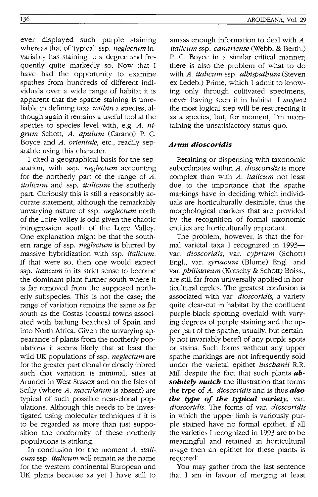ever displayed such purple staining whereas that of 'typical' ssp. *neglectum* invariably has staining to a degree and frequently quite markedly so. Now that I have had the opportunity to examine spathes from hundreds of different individuals over a wide range of habitat it is apparent that the spathe staining is unreliable in defining taxa *within* a species, although again it remains a useful tool at the species to species level with, e.g. A. *nigrum* Schott, *A. apulum* (Carano) P. C. Boyce and *A. orientale,* etc., readily separable using this character.

I cited a geographical basis for the separation, with ssp. *neglectum* accounting for the northerly part of the range of *A. italicum* and ssp. *italicum* the southerly part. Curiously this is still a reasonably accurate statement, although the remarkably unvarying nature of ssp. *neglectum* north of the Loire Valley is odd given the chaotic introgression south of the Loire Valley. One explanation might be that the southern range of ssp. *neglectum* is blurred by massive hybridization with ssp. *italicum.*  If that were so, then one would expect ssp. *italicum* in its strict sense to become the dominant plant further south where it is far removed from the supposed northerly subspecies. This is not the case; the range of variation remains the same as far south as the Costas (coastal towns associated with bathing beaches) of Spain and into North Africa. Given the unvarying appearance of plants from the northerly populations it seems likely that at least the wild UK populations of ssp. *neglectum* are for the greater part clonal or closely inbred such that variation is minimal; sites at Arundel in West Sussex and on the Isles of Scilly (where *A. maculatum* is absent) are typical of such possible near-clonal populations. Although this needs to be investigated using molecular techniques if it is to be regarded as more than just supposition the conformity of these northerly populations is striking.

In conclusion for the moment *A. italicum* ssp. *italicum* will remain as the name for the western continental European and UK plants because as yet I have still to

amass enough information to deal with *A. italicum* ssp. *canariense* (Webb. & Berth.) P. C. Boyce in a similar critical manner; there is also the problem of what to do with *A. italicum* ssp. *albispathum* (Steven ex Ledeb.) Prime, which I admit to knowing only through cultivated specimens, never having seen it in habitat. I *suspect*  the most logical step will be resurrecting it as a species, but, for moment, I'm maintaining the unsatisfactory status quo.

## *Arum dioscoridis*

Retaining or dispensing with taxonomic subordinates within *A. dioscoridis* is more complex than with *A. italicum* not least due to the importance that the spathe markings have in deciding which individuals are horticulturally desirable; thus the morphological markers that are provided by the recognition of formal taxonomic entities are horticulturally important.

The problem, however, is that the formal varietal taxa I recognized in 1993var. *dioscoridis,* var. *cyprium* (Schott) Engl., var. *syriacum* (Blume) Engl. and var. *philistaeum* (Kotschy & Schott) Boiss., are still far from universally applied in horticultural circles. The greatest confusion is associated with var. *dioscoridis,* a variety quite clear-cut in habitat by the confluent purple-black spotting overlaid with varying degrees of purple staining and the upper part of the spathe, usually, but certainly not invariably bereft of any purple spots or stains. Such forms without any upper spathe markings are not infrequently sold under the varietal epithet *luschanii* R.R. Mill despite the fact that such plants *absolutely match* the illustration that forms the type of *A. dioscoridis* and is thus *also the type of the typical variety,* var. *dioscoridis.* The forms of var. *dioscoridis*  in which the upper limb is variously purple stained have no formal epithet; if all the varieties I recognized in 1993 are to be meaningful and retained in horticultural usage then an epithet for these plants is required!

You may gather from the last sentence that I am in favour of merging at least